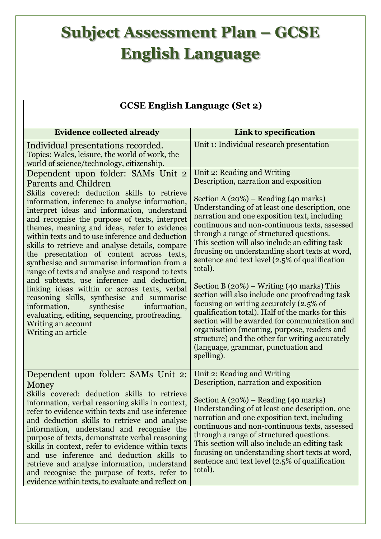## **Subject Assessment Plan – GCSE English Language**

 $\overline{\phantom{a}}$ 

| <b>GCSE English Language (Set 2)</b>                                                                                                                                                                                                                                                                                                                                                                                                                                                                                                                                                                                                                                                                                                                                                                                                                             |                                                                                                                                                                                                                                                                                                                                                                                                                                                                                                                                                                                                                                                                                                                                                                                                                                                                                                              |  |
|------------------------------------------------------------------------------------------------------------------------------------------------------------------------------------------------------------------------------------------------------------------------------------------------------------------------------------------------------------------------------------------------------------------------------------------------------------------------------------------------------------------------------------------------------------------------------------------------------------------------------------------------------------------------------------------------------------------------------------------------------------------------------------------------------------------------------------------------------------------|--------------------------------------------------------------------------------------------------------------------------------------------------------------------------------------------------------------------------------------------------------------------------------------------------------------------------------------------------------------------------------------------------------------------------------------------------------------------------------------------------------------------------------------------------------------------------------------------------------------------------------------------------------------------------------------------------------------------------------------------------------------------------------------------------------------------------------------------------------------------------------------------------------------|--|
| <b>Evidence collected already</b>                                                                                                                                                                                                                                                                                                                                                                                                                                                                                                                                                                                                                                                                                                                                                                                                                                | Link to specification                                                                                                                                                                                                                                                                                                                                                                                                                                                                                                                                                                                                                                                                                                                                                                                                                                                                                        |  |
|                                                                                                                                                                                                                                                                                                                                                                                                                                                                                                                                                                                                                                                                                                                                                                                                                                                                  | Unit 1: Individual research presentation                                                                                                                                                                                                                                                                                                                                                                                                                                                                                                                                                                                                                                                                                                                                                                                                                                                                     |  |
| Individual presentations recorded.<br>Topics: Wales, leisure, the world of work, the<br>world of science/technology, citizenship.                                                                                                                                                                                                                                                                                                                                                                                                                                                                                                                                                                                                                                                                                                                                |                                                                                                                                                                                                                                                                                                                                                                                                                                                                                                                                                                                                                                                                                                                                                                                                                                                                                                              |  |
| Dependent upon folder: SAMs Unit 2<br><b>Parents and Children</b><br>Skills covered: deduction skills to retrieve<br>information, inference to analyse information,<br>interpret ideas and information, understand<br>and recognise the purpose of texts, interpret<br>themes, meaning and ideas, refer to evidence<br>within texts and to use inference and deduction<br>skills to retrieve and analyse details, compare<br>the presentation of content across texts,<br>synthesise and summarise information from a<br>range of texts and analyse and respond to texts<br>and subtexts, use inference and deduction,<br>linking ideas within or across texts, verbal<br>reasoning skills, synthesise and summarise<br>synthesise<br>information,<br>information,<br>evaluating, editing, sequencing, proofreading.<br>Writing an account<br>Writing an article | Unit 2: Reading and Writing<br>Description, narration and exposition<br>Section A $(20%)$ – Reading $(40 \text{ marks})$<br>Understanding of at least one description, one<br>narration and one exposition text, including<br>continuous and non-continuous texts, assessed<br>through a range of structured questions.<br>This section will also include an editing task<br>focusing on understanding short texts at word,<br>sentence and text level (2.5% of qualification<br>total).<br>Section B $(20\%)$ – Writing $(40 \text{ marks})$ This<br>section will also include one proofreading task<br>focusing on writing accurately (2.5% of<br>qualification total). Half of the marks for this<br>section will be awarded for communication and<br>organisation (meaning, purpose, readers and<br>structure) and the other for writing accurately<br>(language, grammar, punctuation and<br>spelling). |  |
| Dependent upon folder: SAMs Unit 2:<br>Money<br>Skills covered: deduction skills to retrieve<br>information, verbal reasoning skills in context,<br>refer to evidence within texts and use inference<br>and deduction skills to retrieve and analyse<br>information, understand and recognise the<br>purpose of texts, demonstrate verbal reasoning<br>skills in context, refer to evidence within texts<br>and use inference and deduction skills to<br>retrieve and analyse information, understand<br>and recognise the purpose of texts, refer to<br>evidence within texts, to evaluate and reflect on                                                                                                                                                                                                                                                       | Unit 2: Reading and Writing<br>Description, narration and exposition<br>Section A $(20\%)$ – Reading $(40 \text{ marks})$<br>Understanding of at least one description, one<br>narration and one exposition text, including<br>continuous and non-continuous texts, assessed<br>through a range of structured questions.<br>This section will also include an editing task<br>focusing on understanding short texts at word,<br>sentence and text level (2.5% of qualification<br>total).                                                                                                                                                                                                                                                                                                                                                                                                                    |  |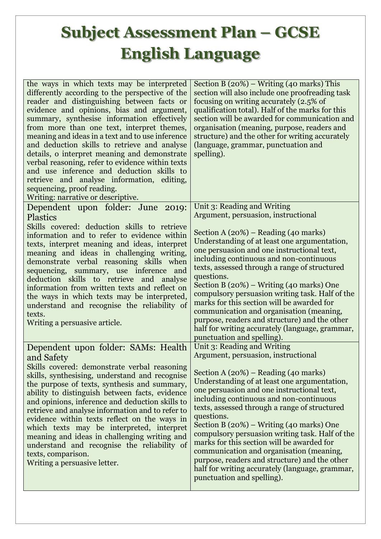## **Subject Assessment Plan – GCSE English Language**

| the ways in which texts may be interpreted<br>differently according to the perspective of the<br>reader and distinguishing between facts or<br>evidence and opinions, bias and argument,<br>summary, synthesise information effectively<br>from more than one text, interpret themes,<br>meaning and ideas in a text and to use inference<br>and deduction skills to retrieve and analyse<br>details, o interpret meaning and demonstrate<br>verbal reasoning, refer to evidence within texts<br>and use inference and deduction skills to<br>retrieve and analyse information, editing,<br>sequencing, proof reading.<br>Writing: narrative or descriptive. | Section B $(20\%)$ – Writing (40 marks) This<br>section will also include one proofreading task<br>focusing on writing accurately (2.5% of<br>qualification total). Half of the marks for this<br>section will be awarded for communication and<br>organisation (meaning, purpose, readers and<br>structure) and the other for writing accurately<br>(language, grammar, punctuation and<br>spelling).                                                                                                                                                                                                                                                     |
|--------------------------------------------------------------------------------------------------------------------------------------------------------------------------------------------------------------------------------------------------------------------------------------------------------------------------------------------------------------------------------------------------------------------------------------------------------------------------------------------------------------------------------------------------------------------------------------------------------------------------------------------------------------|------------------------------------------------------------------------------------------------------------------------------------------------------------------------------------------------------------------------------------------------------------------------------------------------------------------------------------------------------------------------------------------------------------------------------------------------------------------------------------------------------------------------------------------------------------------------------------------------------------------------------------------------------------|
| Dependent upon folder: June 2019:<br><b>Plastics</b><br>Skills covered: deduction skills to retrieve<br>information and to refer to evidence within<br>texts, interpret meaning and ideas, interpret<br>meaning and ideas in challenging writing,<br>demonstrate verbal reasoning skills when<br>sequencing, summary, use inference and<br>deduction skills to retrieve and analyse<br>information from written texts and reflect on<br>the ways in which texts may be interpreted,<br>understand and recognise the reliability of<br>texts.<br>Writing a persuasive article.                                                                                | Unit 3: Reading and Writing<br>Argument, persuasion, instructional<br>Section A $(20%)$ – Reading $(40 \text{ marks})$<br>Understanding of at least one argumentation,<br>one persuasion and one instructional text,<br>including continuous and non-continuous<br>texts, assessed through a range of structured<br>questions.<br>Section B (20%) – Writing (40 marks) One<br>compulsory persuasion writing task. Half of the<br>marks for this section will be awarded for<br>communication and organisation (meaning,<br>purpose, readers and structure) and the other<br>half for writing accurately (language, grammar,<br>punctuation and spelling).  |
| Dependent upon folder: SAMs: Health<br>and Safety<br>Skills covered: demonstrate verbal reasoning<br>skills, synthesising, understand and recognise<br>the purpose of texts, synthesis and summary,<br>ability to distinguish between facts, evidence<br>and opinions, inference and deduction skills to<br>retrieve and analyse information and to refer to<br>evidence within texts reflect on the ways in<br>which texts may be interpreted, interpret<br>meaning and ideas in challenging writing and<br>understand and recognise the reliability of<br>texts, comparison.<br>Writing a persuasive letter.                                               | Unit 3: Reading and Writing<br>Argument, persuasion, instructional<br>Section A $(20\%)$ – Reading $(40 \text{ marks})$<br>Understanding of at least one argumentation,<br>one persuasion and one instructional text,<br>including continuous and non-continuous<br>texts, assessed through a range of structured<br>questions.<br>Section B (20%) – Writing (40 marks) One<br>compulsory persuasion writing task. Half of the<br>marks for this section will be awarded for<br>communication and organisation (meaning,<br>purpose, readers and structure) and the other<br>half for writing accurately (language, grammar,<br>punctuation and spelling). |